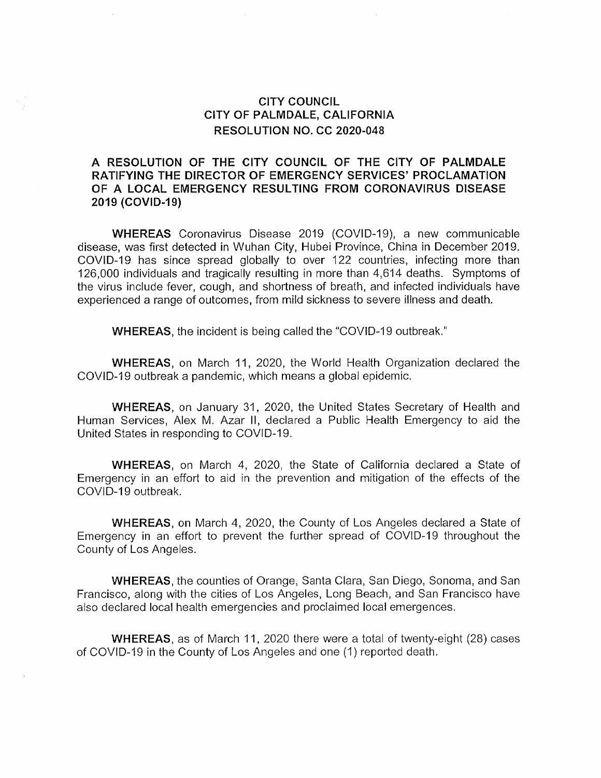## CITY COUNCIL CITY OF PALMDALE, CALIFORNIA RESOLUTION NO. CC 2020-048

## A RESOLUTION OF THE CITY COUNCIL OF THE CITY OF PALMDALE RATIFYING THE DIRECTOR OF EMERGENCY SERVICES' PROCLAMATION OF A LOCAL EMERGENCY RESULTING FROM CORONAVIRUS DISEASE 2019 (COVID-19)

WHEREAS Coronavirus Disease 2019 (COVID-19), a new communicable disease, was first detected in Wuhan City, Hubei Province, China in December 2019. COVID-19 has since spread globally to over 122 countries, infecting more than 126,000 individuals and tragically resulting in more than 4,614 deaths. Symptoms of the virus include fever, cough, and shortness of breath, and infected individuals have experienced a range of outcomes, from mild sickness to severe illness and death.

WHEREAS, the incident is being called the "COVID-19 outbreak."

WHEREAS, on March 11, 2020, the World Health Organization declared the COVID-19 outbreak a pandemic, which means a global epidemic.

WHEREAS, on January <sup>31</sup>, 2020, the United States Secretary of Health and Human Services, Alex M. Azar ll, declared a Public Health Emergency to aid the United States in responding to COVID-19.

WHEREAS, on March 4, 2020, the State of California declared a State of Emergency in an effort to aid in the prevention and mitigation of the effects of the COVID-19 outbreak.

WHEREAS, on March 4, 2020, the County of Los Angeles declared a State of Emergency in an effort to prevent the further spread of COVID-19 throughout the County of Los Angeles.

WHEREAS, the counties of Orange, Santa Clara, San Diego, Sonoma, and San Francisco, along with the cities of Los Angeles, Long Beach, and San Francisco have also declared local health emergencies and proclaimed local emergences.

WHEREAS, as of March 11, 2020 there were a total of twenty-eight (28) cases of COVID-19 in the County of Los Angeles and one (1) reported death.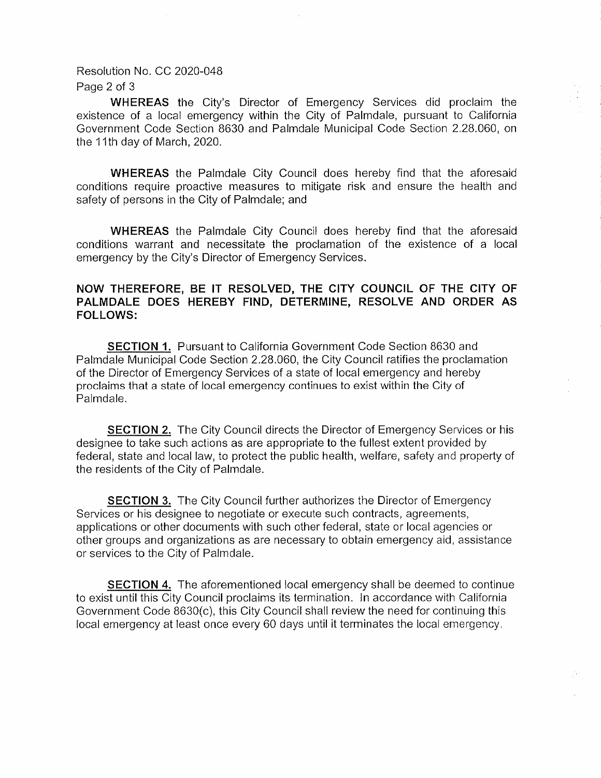Resolution No. CC 2020-048

Page 2 of <sup>3</sup>

WHEREAS the City's Director of Emergency Services did proclaim the existence of a local emergency within the City of Palmdale, pursuant to California Government Code Section 8630 and Palmdale Municipal Code Section 2,28.060, on the 11th day of March, 2020.

WHEREAS the Palmdale City Council does hereby find that the aforesaid conditions require proactive measures to mitigate risk and ensure the health and safety of persons in the City of Palmdale; and

WHEREAS the Palmdale City Council does hereby find that the aforesaid conditions warrant and necessitate the proclamation of the existence of a local emergency by the City's Director of Emergency Services.

## NOW THEREFORE, BE IT RESOLVED, THE CITY COUNCIL OF THE CITY OF PALMDALE DOES HEREBY FIND, DETERMINE, RESOLVE AND ORDER AS FOLLOWS:

SECTION 1. Pursuant to Caìifornia Government Code Section 8630 and Palmdale Municipal Code Section 2.28.060, the City Council ratifies the proclamation of the Director of Emergency Services of a state of local emergency and hereby proclaims that a state of local emergency continues to exist within the City of Palmdale.

SECTION 2. The City Council directs the Director of Emergency Services or his designee to take such actions as are appropriate to the fullest extent provided by federal, state and local law, to protect the public health, welfare, safety and property of the residents of the City of Palmdale.

SECTION 3. The City Council further authorizes the Director of Emergency Services or hìs designee to negotiate or execute such contracts, agreements, applications or other documents with such other federal, state or local agencies or other groups and organizations as are necessary to obtain emergency aid, assistance or services to the City of Palmdale.

SECTION 4. The aforementioned Iocal emergency shall be deemed to continue to exist until this City Council proclaims its termination. ln accordance with California Government Code 8630(c), this City Council shall review the need for continuing this Iocal emergency at least once every 60 days until it terminates the local emergency,